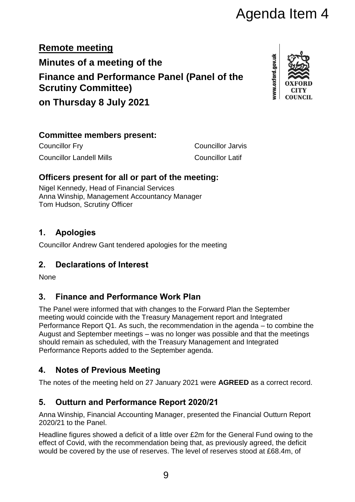# Agenda Item 4

**Remote meeting Minutes of a meeting of the Finance and Performance Panel (Panel of the Scrutiny Committee)**

www.oxford.gov.uk

**on Thursday 8 July 2021**

#### **Committee members present:**

Councillor Fry Councillor Jarvis Councillor Landell Mills Councillor Latif

#### **Officers present for all or part of the meeting:**

Nigel Kennedy, Head of Financial Services Anna Winship, Management Accountancy Manager Tom Hudson, Scrutiny Officer

#### **1. Apologies**

Councillor Andrew Gant tendered apologies for the meeting

## **2. Declarations of Interest**

None

#### **3. Finance and Performance Work Plan**

The Panel were informed that with changes to the Forward Plan the September meeting would coincide with the Treasury Management report and Integrated Performance Report Q1. As such, the recommendation in the agenda – to combine the August and September meetings – was no longer was possible and that the meetings should remain as scheduled, with the Treasury Management and Integrated Performance Reports added to the September agenda.

#### **4. Notes of Previous Meeting**

The notes of the meeting held on 27 January 2021 were **AGREED** as a correct record.

## **5. Outturn and Performance Report 2020/21**

Anna Winship, Financial Accounting Manager, presented the Financial Outturn Report 2020/21 to the Panel.

Headline figures showed a deficit of a little over £2m for the General Fund owing to the effect of Covid, with the recommendation being that, as previously agreed, the deficit would be covered by the use of reserves. The level of reserves stood at £68.4m, of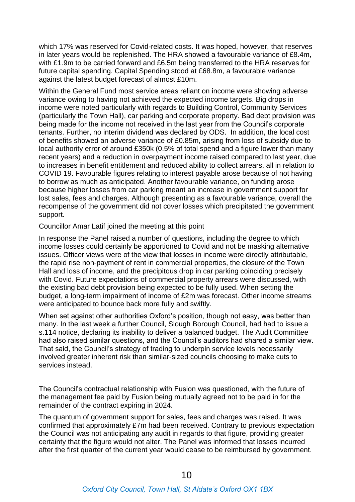which 17% was reserved for Covid-related costs. It was hoped, however, that reserves in later years would be replenished. The HRA showed a favourable variance of £8.4m, with £1.9m to be carried forward and £6.5m being transferred to the HRA reserves for future capital spending. Capital Spending stood at £68.8m, a favourable variance against the latest budget forecast of almost £10m.

Within the General Fund most service areas reliant on income were showing adverse variance owing to having not achieved the expected income targets. Big drops in income were noted particularly with regards to Building Control, Community Services (particularly the Town Hall), car parking and corporate property. Bad debt provision was being made for the income not received in the last year from the Council's corporate tenants. Further, no interim dividend was declared by ODS. In addition, the local cost of benefits showed an adverse variance of £0.85m, arising from loss of subsidy due to local authority error of around £350k (0.5% of total spend and a figure lower than many recent years) and a reduction in overpayment income raised compared to last year, due to increases in benefit entitlement and reduced ability to collect arrears, all in relation to COVID 19. Favourable figures relating to interest payable arose because of not having to borrow as much as anticipated. Another favourable variance, on funding arose because higher losses from car parking meant an increase in government support for lost sales, fees and charges. Although presenting as a favourable variance, overall the recompense of the government did not cover losses which precipitated the government support.

#### Councillor Amar Latif joined the meeting at this point

In response the Panel raised a number of questions, including the degree to which income losses could certainly be apportioned to Covid and not be masking alternative issues. Officer views were of the view that losses in income were directly attributable, the rapid rise non-payment of rent in commercial properties, the closure of the Town Hall and loss of income, and the precipitous drop in car parking coinciding precisely with Covid. Future expectations of commercial property arrears were discussed, with the existing bad debt provision being expected to be fully used. When setting the budget, a long-term impairment of income of £2m was forecast. Other income streams were anticipated to bounce back more fully and swiftly.

When set against other authorities Oxford's position, though not easy, was better than many. In the last week a further Council, Slough Borough Council, had had to issue a s.114 notice, declaring its inability to deliver a balanced budget. The Audit Committee had also raised similar questions, and the Council's auditors had shared a similar view. That said, the Council's strategy of trading to underpin service levels necessarily involved greater inherent risk than similar-sized councils choosing to make cuts to services instead.

The Council's contractual relationship with Fusion was questioned, with the future of the management fee paid by Fusion being mutually agreed not to be paid in for the remainder of the contract expiring in 2024.

The quantum of government support for sales, fees and charges was raised. It was confirmed that approximately £7m had been received. Contrary to previous expectation the Council was not anticipating any audit in regards to that figure, providing greater certainty that the figure would not alter. The Panel was informed that losses incurred after the first quarter of the current year would cease to be reimbursed by government.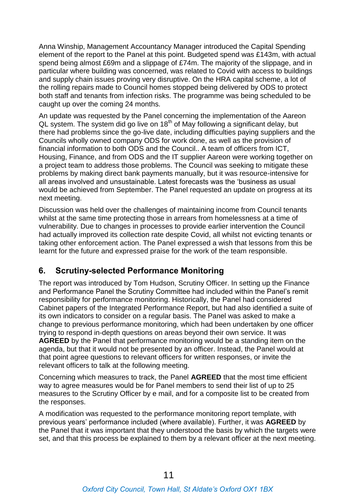Anna Winship, Management Accountancy Manager introduced the Capital Spending element of the report to the Panel at this point. Budgeted spend was £143m, with actual spend being almost £69m and a slippage of £74m. The majority of the slippage, and in particular where building was concerned, was related to Covid with access to buildings and supply chain issues proving very disruptive. On the HRA capital scheme, a lot of the rolling repairs made to Council homes stopped being delivered by ODS to protect both staff and tenants from infection risks. The programme was being scheduled to be caught up over the coming 24 months.

An update was requested by the Panel concerning the implementation of the Aareon QL system. The system did go live on 18<sup>th</sup> of May following a significant delay, but there had problems since the go-live date, including difficulties paying suppliers and the Councils wholly owned company ODS for work done, as well as the provision of financial information to both ODS and the Council.. A team of officers from ICT, Housing, Finance, and from ODS and the IT supplier Aareon were working together on a project team to address those problems. The Council was seeking to mitigate these problems by making direct bank payments manually, but it was resource-intensive for all areas involved and unsustainable. Latest forecasts was the 'business as usual would be achieved from September. The Panel requested an update on progress at its next meeting.

Discussion was held over the challenges of maintaining income from Council tenants whilst at the same time protecting those in arrears from homelessness at a time of vulnerability. Due to changes in processes to provide earlier intervention the Council had actually improved its collection rate despite Covid, all whilst not evicting tenants or taking other enforcement action. The Panel expressed a wish that lessons from this be learnt for the future and expressed praise for the work of the team responsible.

#### **6. Scrutiny-selected Performance Monitoring**

The report was introduced by Tom Hudson, Scrutiny Officer. In setting up the Finance and Performance Panel the Scrutiny Committee had included within the Panel's remit responsibility for performance monitoring. Historically, the Panel had considered Cabinet papers of the Integrated Performance Report, but had also identified a suite of its own indicators to consider on a regular basis. The Panel was asked to make a change to previous performance monitoring, which had been undertaken by one officer trying to respond in-depth questions on areas beyond their own service. It was **AGREED** by the Panel that performance monitoring would be a standing item on the agenda, but that it would not be presented by an officer. Instead, the Panel would at that point agree questions to relevant officers for written responses, or invite the relevant officers to talk at the following meeting.

Concerning which measures to track, the Panel **AGREED** that the most time efficient way to agree measures would be for Panel members to send their list of up to 25 measures to the Scrutiny Officer by e mail, and for a composite list to be created from the responses.

A modification was requested to the performance monitoring report template, with previous years' performance included (where available). Further, it was **AGREED** by the Panel that it was important that they understood the basis by which the targets were set, and that this process be explained to them by a relevant officer at the next meeting.